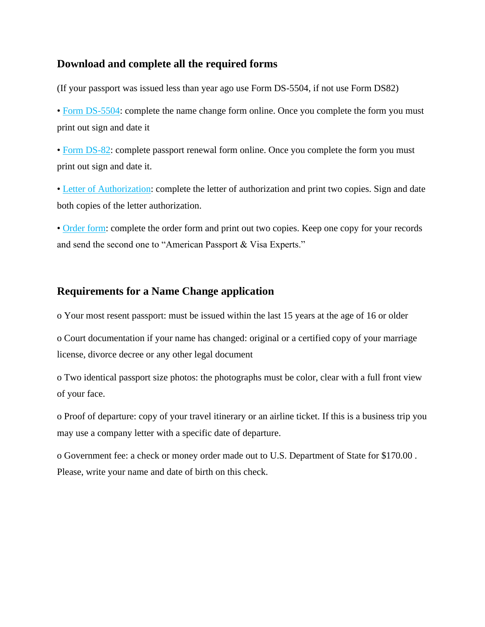## **Download and complete all the required forms**

(If your passport was issued less than year ago use Form DS-5504, if not use Form DS82)

• [Form DS-5504:](https://pptform.state.gov/) complete the name change form online. Once you complete the form you must print out sign and date it

• [Form DS-82: c](https://pptform.state.gov/)omplete passport renewal form online. Once you complete the form you must print out sign and date it.

• [Letter of Authorization:](https://drive.google.com/open?id=1DP85ZQSC2aAb6PdCPlz77Xjn7rp44YBU) complete the letter of authorization and print two copies. Sign and date both copies of the letter authorization.

• [Order form:](https://drive.google.com/open?id=1ePZLS6oKc-cLC3QSbIzj02_ySV2gHv_y) complete the order form and print out two copies. Keep one copy for your records and send the second one to "American Passport & Visa Experts."

## **Requirements for a Name Change application**

o Your most resent passport: must be issued within the last 15 years at the age of 16 or older

o Court documentation if your name has changed: original or a certified copy of your marriage license, divorce decree or any other legal document

o Two identical passport size photos: the photographs must be color, clear with a full front view of your face.

o Proof of departure: copy of your travel itinerary or an airline ticket. If this is a business trip you may use a company letter with a specific date of departure.

o Government fee: a check or money order made out to U.S. Department of State for \$170.00 . Please, write your name and date of birth on this check.